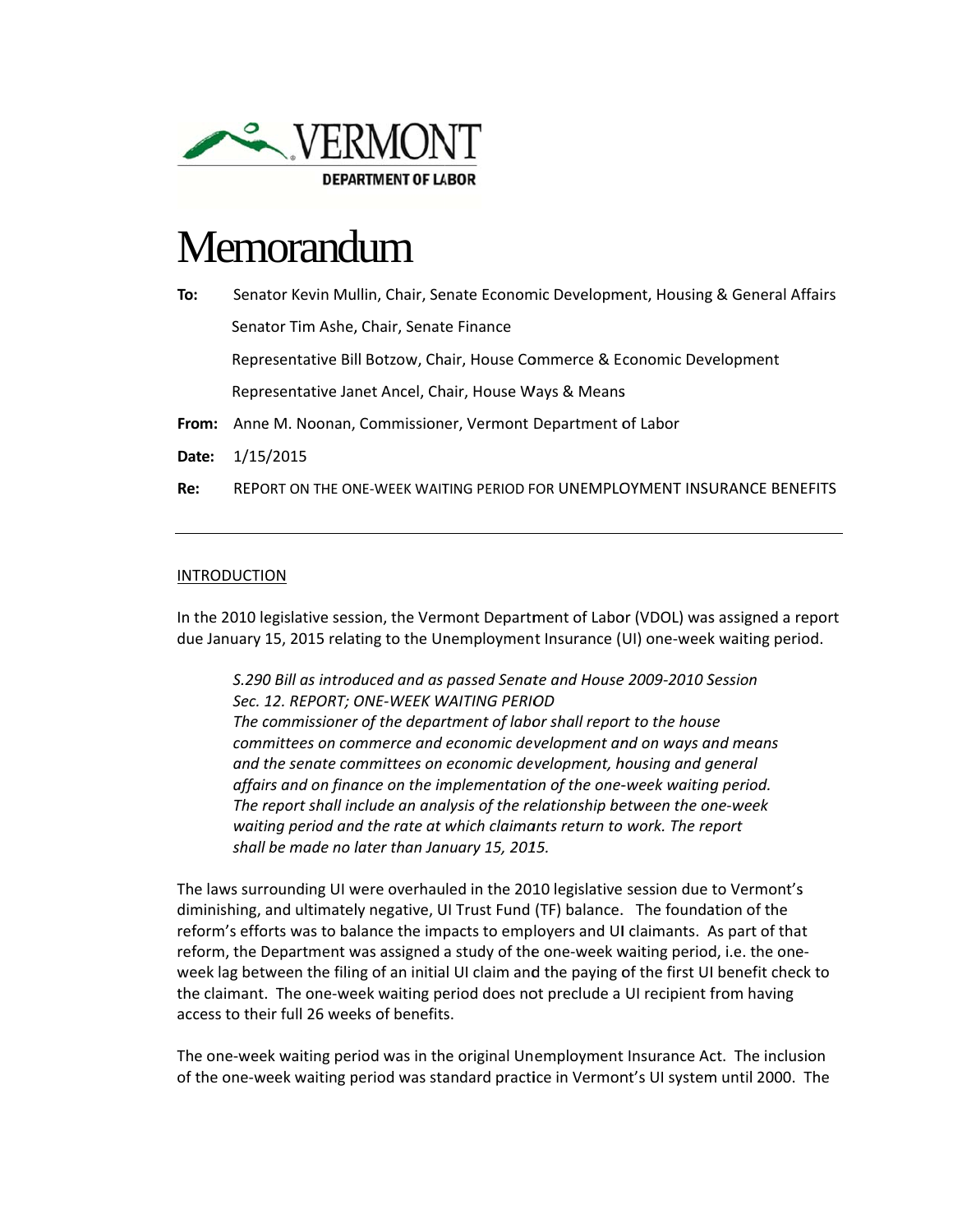

## Memorandum

| Senator Kevin Mullin, Chair, Senate Economic Development, Housing & General Affairs |
|-------------------------------------------------------------------------------------|
| Senator Tim Ashe, Chair, Senate Finance                                             |
| Representative Bill Botzow, Chair, House Commerce & Economic Development            |
| Representative Janet Ancel, Chair, House Ways & Means                               |
| From: Anne M. Noonan, Commissioner, Vermont Department of Labor                     |
| 1/15/2015                                                                           |
| REPORT ON THE ONE-WEEK WAITING PERIOD FOR UNEMPLOYMENT INSURANCE BENEFITS           |
|                                                                                     |

## **INTRODUCTION**

In the 2010 legislative session, the Vermont Department of Labor (VDOL) was assigned a report due January 15, 2015 relating to the Unemployment Insurance (UI) one-week waiting period.

S.290 Bill as introduced and as passed Senate and House 2009-2010 Session Sec. 12. REPORT; ONE-WEEK WAITING PERIOD The commissioner of the department of labor shall report to the house committees on commerce and economic development and on ways and means and the senate committees on economic development, housing and general affairs and on finance on the implementation of the one-week waiting period. The report shall include an analysis of the relationship between the one-week waiting period and the rate at which claimants return to work. The report shall be made no later than January 15, 2015.

The laws surrounding UI were overhauled in the 2010 legislative session due to Vermont's diminishing, and ultimately negative, UI Trust Fund (TF) balance. The foundation of the reform's efforts was to balance the impacts to employers and UI claimants. As part of that reform, the Department was assigned a study of the one-week waiting period, i.e. the oneweek lag between the filing of an initial UI claim and the paying of the first UI benefit check to the claimant. The one-week waiting period does not preclude a UI recipient from having access to their full 26 weeks of benefits.

The one-week waiting period was in the original Unemployment Insurance Act. The inclusion of the one-week waiting period was standard practice in Vermont's UI system until 2000. The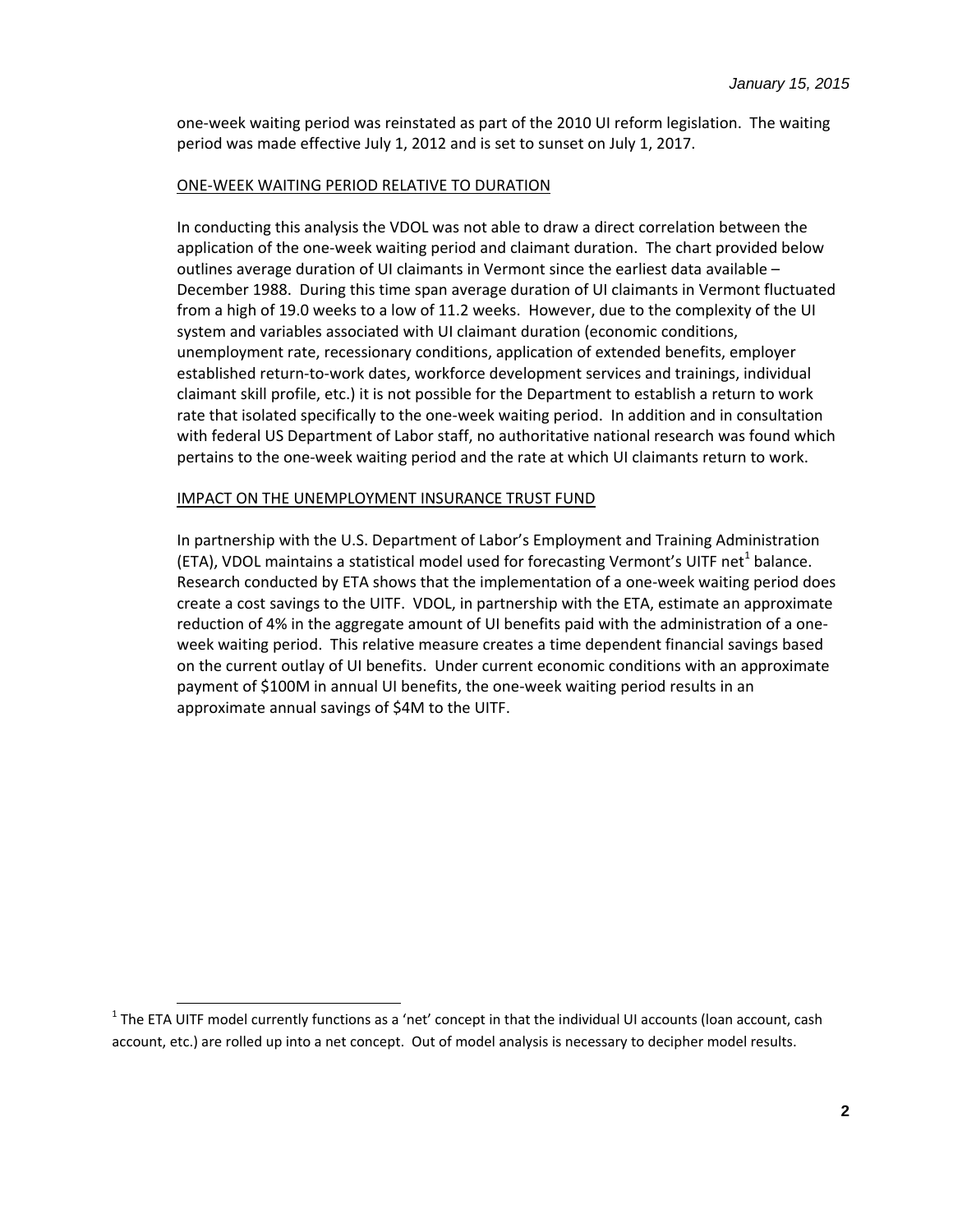one‐week waiting period was reinstated as part of the 2010 UI reform legislation. The waiting period was made effective July 1, 2012 and is set to sunset on July 1, 2017.

## ONE‐WEEK WAITING PERIOD RELATIVE TO DURATION

In conducting this analysis the VDOL was not able to draw a direct correlation between the application of the one‐week waiting period and claimant duration. The chart provided below outlines average duration of UI claimants in Vermont since the earliest data available – December 1988. During this time span average duration of UI claimants in Vermont fluctuated from a high of 19.0 weeks to a low of 11.2 weeks. However, due to the complexity of the UI system and variables associated with UI claimant duration (economic conditions, unemployment rate, recessionary conditions, application of extended benefits, employer established return‐to‐work dates, workforce development services and trainings, individual claimant skill profile, etc.) it is not possible for the Department to establish a return to work rate that isolated specifically to the one-week waiting period. In addition and in consultation with federal US Department of Labor staff, no authoritative national research was found which pertains to the one‐week waiting period and the rate at which UI claimants return to work.

## IMPACT ON THE UNEMPLOYMENT INSURANCE TRUST FUND

In partnership with the U.S. Department of Labor's Employment and Training Administration (ETA), VDOL maintains a statistical model used for forecasting Vermont's UITF net<sup>1</sup> balance. Research conducted by ETA shows that the implementation of a one‐week waiting period does create a cost savings to the UITF. VDOL, in partnership with the ETA, estimate an approximate reduction of 4% in the aggregate amount of UI benefits paid with the administration of a one‐ week waiting period. This relative measure creates a time dependent financial savings based on the current outlay of UI benefits. Under current economic conditions with an approximate payment of \$100M in annual UI benefits, the one‐week waiting period results in an approximate annual savings of \$4M to the UITF.

 $1$  The ETA UITF model currently functions as a 'net' concept in that the individual UI accounts (loan account, cash account, etc.) are rolled up into a net concept. Out of model analysis is necessary to decipher model results.